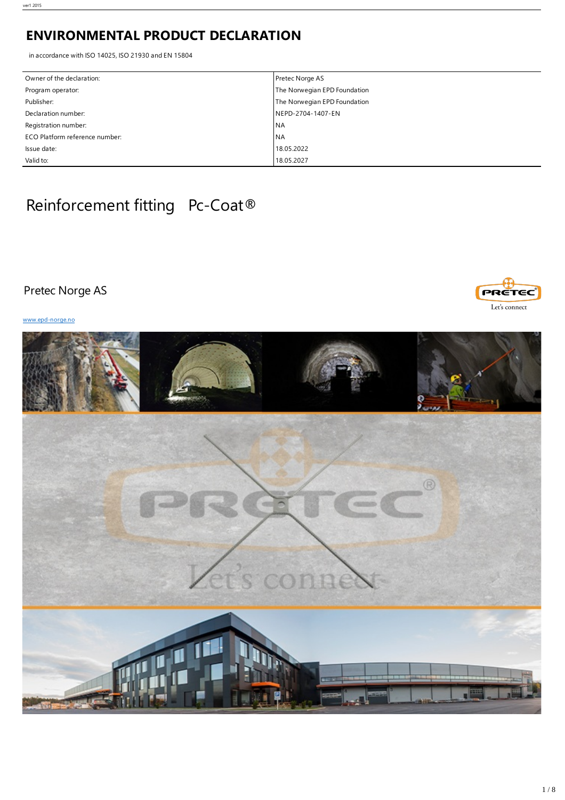# **ENVIRONMENTAL PRODUCT DECLARATION**

in accordance with ISO 14025, ISO 21930 and EN 15804

| Owner of the declaration:      | Pretec Norge AS              |
|--------------------------------|------------------------------|
| Program operator:              | The Norwegian EPD Foundation |
| Publisher:                     | The Norwegian EPD Foundation |
| Declaration number:            | NEPD-2704-1407-EN            |
| Registration number:           | <b>INA</b>                   |
| ECO Platform reference number: | <b>NA</b>                    |
| Issue date:                    | 18.05.2022                   |
| Valid to:                      | 18.05.2027                   |

# Reinforcement fitting Pc-Coat®

# Pretec Norge AS





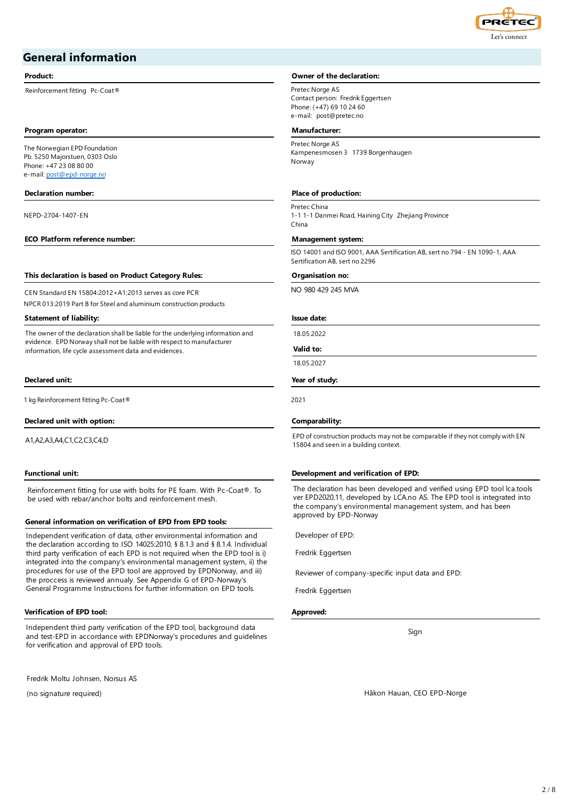

# **General information**

Reinforcement fitting Pc-Coat® Pretec Norge AS

#### **Program operator: Manufacturer:**

The Norwegian EPD Foundation Pb. 5250 Majorstuen, 0303 Oslo Phone: +47 23 08 80 00 e-mail: [post@epd-norge.no](mailto:post@epd-norge.no)

NEPD-2704-1407-EN

#### **ECO Platform reference number: Management system:**

#### **This declaration is based on Product Category Rules: Organisation no:**

CEN Standard EN 15804:2012+A1:2013 serves as core PCR NPCR 013:2019 Part B for Steel and aluminium construction products

#### **Statement of liability: Issue date:**

The owner of the declaration shall be liable for the underlying information and evidence. EPD Norway shall not be liable with respect to manufacturer information, life cycle assessment data and evidences.

#### **Declared unit: Year of study:**

1 kg Reinforcement fitting Pc-Coat® 2021

#### **Declared unit with option: Comparability:**

A1,A2,A3,A4,C1,C2,C3,C4,D

Reinforcement fitting for use with bolts for PE foam. With Pc-Coat®. To be used with rebar/anchor bolts and reinforcement mesh.

#### **General information on verification of EPD from EPD tools:**

Independent verification of data, other environmental information and the declaration according to ISO 14025:2010, § 8.1.3 and § 8.1.4. Individual third party verification of each EPD is not required when the EPD tool is i) integrated into the company's environmental management system, ii) the procedures for use of the EPD tool are approved by EPDNorway, and iii) the proccess is reviewed annualy. See Appendix G of EPD-Norway's General Programme Instructions for further information on EPD tools.

#### **Verification of EPD tool: Approved:**

Independent third party verification of the EPD tool, background data and test-EPD in accordance with EPDNorway's procedures and guidelines for verification and approval of EPD tools.

Fredrik Moltu Johnsen, Norsus AS

(no signature required)

#### **Product: Owner** of the declaration:

Contact person: Fredrik Eggertsen Phone: (+47) 69 10 24 60 e-mail: post@pretec.no

Pretec Norge AS Kampenesmosen 3 1739 Borgenhaugen Norway

#### **Declaration number: Place of production:**

Pretec China 1-1 1-1 Danmei Road, Haining City Zhejiang Province China

ISO 14001 and ISO 9001, AAA Sertification AB, sert no 794 - EN 1090-1, AAA Sertification AB, sert no 2296

NO 980 429 245 MVA

18.05.2022

**Valid to:**

18.05.2027

EPD of construction products may not be comparable if they not comply with EN 15804 and seen in a building context.

#### **Functional unit: Development and verification of EPD:**

The declaration has been developed and verified using EPD tool lca.tools ver EPD2020.11, developed by LCA.no AS. The EPD tool is integrated into the company's environmental management system, and has been approved by EPD-Norway

Developer of EPD:

Fredrik Eggertsen

Reviewer of company-specific input data and EPD:

Fredrik Eggertsen

Sign

Håkon Hauan, CEO EPD-Norge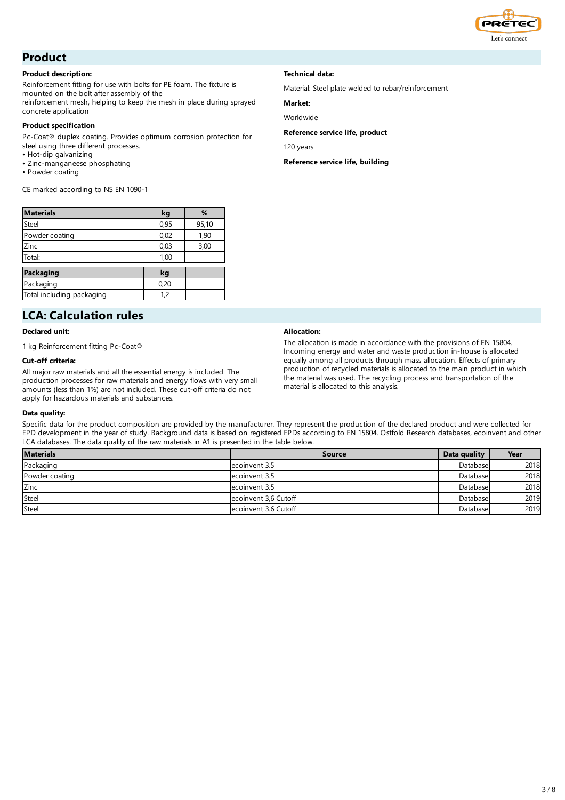

# **Product**

#### **Product description:**

Reinforcement fitting for use with bolts for PE foam. The fixture is mounted on the bolt after assembly of the

reinforcement mesh, helping to keep the mesh in place during sprayed concrete application

#### **Product specification**

Pc-Coat® duplex coating. Provides optimum corrosion protection for steel using three different processes.

- Hot-dip galvanizing
- Zinc-manganeese phosphating
- Powder coating

CE marked according to NS EN 1090-1

| <b>Materials</b>          | kg   | %     |
|---------------------------|------|-------|
| <b>Steel</b>              | 0,95 | 95,10 |
| Powder coating            | 0,02 | 1,90  |
| Zinc                      | 0,03 | 3,00  |
| Total:                    | 1,00 |       |
| Packaging                 | kg   |       |
| Packaging                 | 0,20 |       |
| Total including packaging | 1.2  |       |

# **LCA: Calculation rules**

### **Declared unit:**

1 kg Reinforcement fitting Pc-Coat®

### **Cut-off criteria:**

All major raw materials and all the essential energy is included. The production processes for raw materials and energy flows with very small amounts (less than 1%) are not included. These cut-off criteria do not apply for hazardous materials and substances.

### **Technical data:**

Material: Steel plate welded to rebar/reinforcement

### **Market:**

Worldwide

### **Reference service life, product**

120 years

**Reference service life, building**

### **Allocation:**

The allocation is made in accordance with the provisions of EN 15804. Incoming energy and water and waste production in-house is allocated equally among all products through mass allocation. Effects of primary production of recycled materials is allocated to the main product in which the material was used. The recycling process and transportation of the material is allocated to this analysis.

#### **Data quality:**

Specific data for the product composition are provided by the manufacturer. They represent the production of the declared product and were collected for EPD development in the year of study. Background data is based on registered EPDs according to EN 15804, Ostfold Research databases, ecoinvent and other LCA databases. The data quality of the raw materials in A1 is presented in the table below.

| <b>Materials</b> | <b>Source</b>        | Data quality | Year |
|------------------|----------------------|--------------|------|
| Packaging        | ecoinvent 3.5        | Database     | 2018 |
| Powder coating   | ecoinvent 3.5        | Database     | 2018 |
| Zinc             | ecoinvent 3.5        | Database     | 2018 |
| <b>Steel</b>     | ecoinvent 3,6 Cutoff | Database     | 2019 |
| Steel            | ecoinvent 3.6 Cutoff | Database     | 2019 |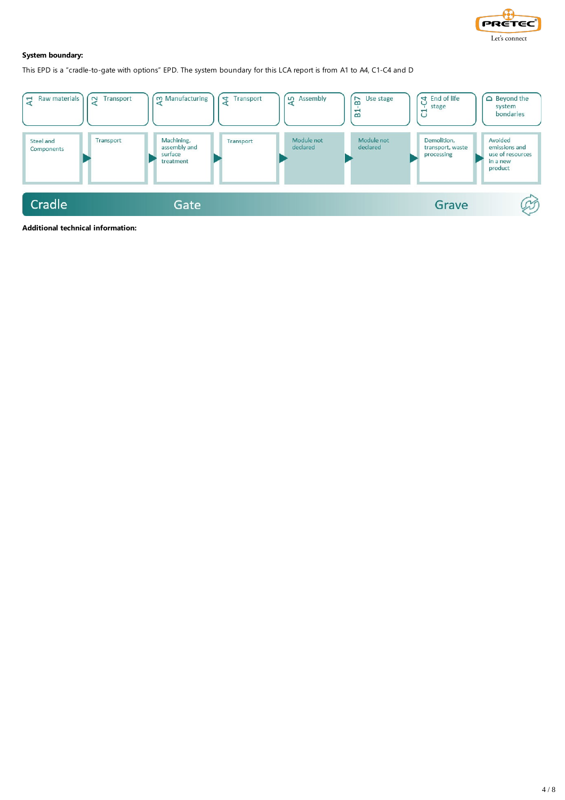

### **System boundary:**

This EPD is a "cradle-to-gate with options" EPD. The system boundary for this LCA report is from A1 to A4, C1-C4 and D



**Additional technical information:**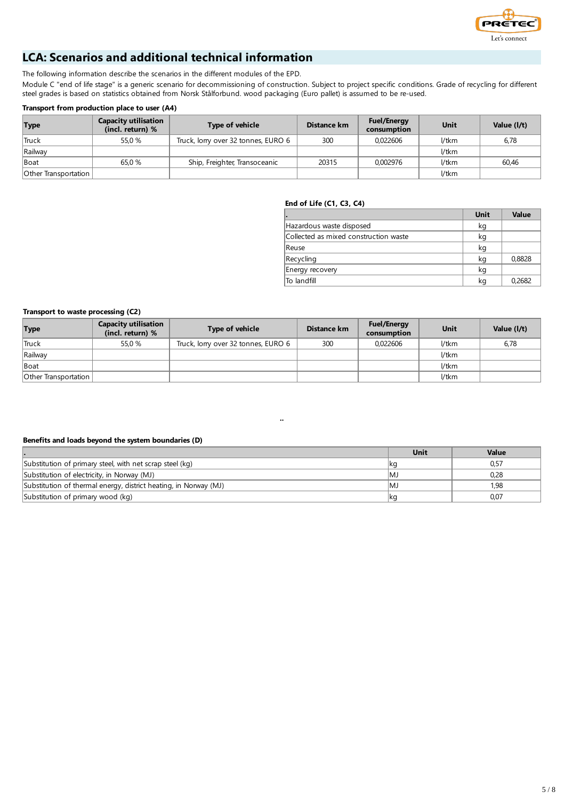

# **LCA: Scenarios and additional technical information**

The following information describe the scenarios in the different modules of the EPD.

Module C "end of life stage" is a generic scenario for decommissioning of construction. Subject to project specific conditions. Grade of recycling for different steel grades is based on statistics obtained from Norsk Stålforbund. wood packaging (Euro pallet) is assumed to be re-used.

### **Transport from production place to user (A4)**

| <b>Type</b>          | <b>Capacity utilisation</b><br>(incl. return) % | <b>Type of vehicle</b>              | Distance km | <b>Fuel/Energy</b><br>consumption | Unit  | Value (I/t) |
|----------------------|-------------------------------------------------|-------------------------------------|-------------|-----------------------------------|-------|-------------|
| <b>Truck</b>         | 55.0 %                                          | Truck, lorry over 32 tonnes, EURO 6 | 300         | 0.022606                          | l/tkm | 6,78        |
| Railway              |                                                 |                                     |             |                                   | l/tkm |             |
| <b>Boat</b>          | 65.0 %                                          | Ship, Freighter, Transoceanic       | 20315       | 0.002976                          | l/tkm | 60.46       |
| Other Transportation |                                                 |                                     |             |                                   | l/tkm |             |

### **End of Life (C1, C3, C4)**

| ı.                                    | Unit | Value  |
|---------------------------------------|------|--------|
| Hazardous waste disposed              | kg   |        |
| Collected as mixed construction waste | kg   |        |
| <b>Reuse</b>                          | kg   |        |
| Recycling                             | kg   | 0,8828 |
| Energy recovery                       | kg   |        |
| lTo landfill                          | kg   | 0.2682 |

#### **Transport to waste processing (C2)**

| <b>Type</b>                 | <b>Capacity utilisation</b><br>(incl. return) % | <b>Type of vehicle</b>              | Distance km | <b>Fuel/Energy</b><br>consumption | Unit  | Value (I/t) |
|-----------------------------|-------------------------------------------------|-------------------------------------|-------------|-----------------------------------|-------|-------------|
| <b>Truck</b>                | 55.0 %                                          | Truck, lorry over 32 tonnes, EURO 6 | 300         | 0.022606                          | l/tkm | 6,78        |
| Railway                     |                                                 |                                     |             |                                   | 1/tkm |             |
| <b>Boat</b>                 |                                                 |                                     |             |                                   | 1/tkm |             |
| <b>Other Transportation</b> |                                                 |                                     |             |                                   | 1/tkm |             |

#### **Benefits and loads beyond the system boundaries (D)**

|                                                                  | Unit | Value |
|------------------------------------------------------------------|------|-------|
| Substitution of primary steel, with net scrap steel (kg)         |      | 0,57  |
| Substitution of electricity, in Norway (MJ)                      | IM.  | 0,28  |
| Substitution of thermal energy, district heating, in Norway (MJ) | IM.  | 1.98  |
| Substitution of primary wood (kg)                                | ∣kq  | 0,07  |

¨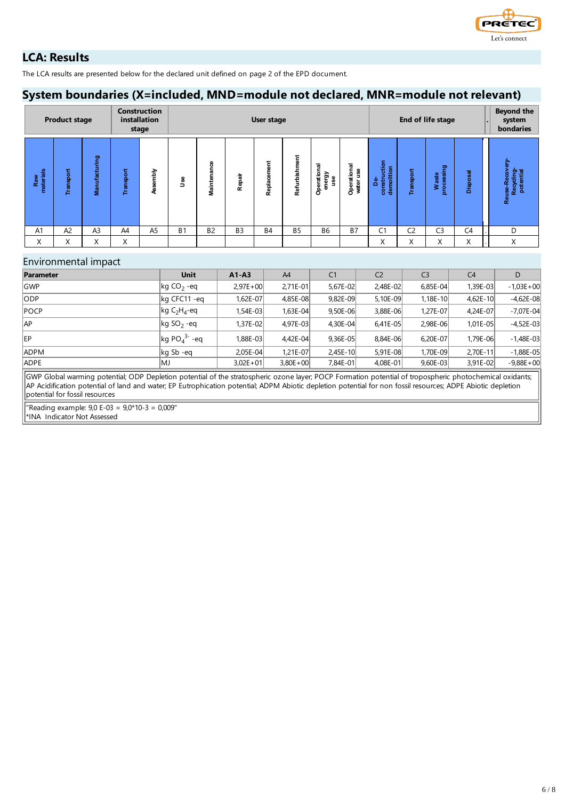

# **LCA: Results**

The LCA results are presented below for the declared unit defined on page 2 of the EPD document.

# **System boundaries (X=included, MND=module not declared, MNR=module not relevant)**

|                  | <b>Product stage</b> |                |           | <b>Construction</b><br>installation<br>stage | End of life stage<br>User stage |                                    |                |             | <b>Beyond the</b><br>system<br>bondaries |                                     |                          |                                  |           |                         |                 |                                                   |
|------------------|----------------------|----------------|-----------|----------------------------------------------|---------------------------------|------------------------------------|----------------|-------------|------------------------------------------|-------------------------------------|--------------------------|----------------------------------|-----------|-------------------------|-----------------|---------------------------------------------------|
| Raw<br>materials | Transport            | Manufacturing  | Transport | Assembly                                     | 3<br>∍                          | 8<br>듮<br>-<br>្ទិ<br>ة.<br>أ<br>Ξ | Repair         | Replacement | Refurbishment                            | ਛ<br>-<br>Operatio<br>energy<br>use | Operational<br>water use | construction<br>demolition<br>۵è | Transport | processing<br>aste<br>⋧ | <b>Disposal</b> | င္ၿ<br>2<br>Recycling-<br>potential<br>Reuse-Reco |
| A <sub>1</sub>   | A <sup>2</sup>       | A <sub>3</sub> | A4        | A <sub>5</sub>                               | <b>B1</b>                       | <b>B2</b>                          | B <sub>3</sub> | <b>B4</b>   | <b>B5</b>                                | B <sub>6</sub>                      | <b>B7</b>                | С1                               | C2        | C <sub>3</sub>          | C <sub>4</sub>  | D                                                 |
| X                | X                    | X              | X         |                                              |                                 |                                    |                |             |                                          |                                     |                          | $\checkmark$<br>∧                | X         | Χ                       | X               | X                                                 |

### Environmental impact

| Parameter   | <b>Unit</b>                                          | $A1 - A3$    | A4           | C <sub>1</sub> | C <sub>2</sub> | C <sub>3</sub> | C <sub>4</sub> | D             |
|-------------|------------------------------------------------------|--------------|--------------|----------------|----------------|----------------|----------------|---------------|
| <b>GWP</b>  | $\log$ CO <sub>2</sub> -eq                           | $2.97E + 00$ | $2,71E-01$   | 5.67E-02       | 2,48E-02       | $6,85E-04$     | 1.39E-03l      | $-1,03E+00$   |
| ODP         | kg CFC11 -eq                                         | 1.62E-07l    | 4,85E-08     | 9.82E-09       | 5,10E-09       | 1,18E-10       | 4.62E-10       | $-4.62E-08$   |
| <b>POCP</b> | $\left  \text{kg C}_2 \text{H}_4 \text{-eq} \right $ | I.54E-03     | 1,63E-04     | 9.50E-06       | 3,88E-06       | 1,27E-07       | 4.24E-07       | $-7,07E-04$   |
| AP          | $\log SO_2$ -eq                                      | $1.37E - 02$ | 4,97E-03     | 4.30E-04       | $6,41E-05$     | 2,98E-06       | $1.01E - 05$   | $-4,52E-03$   |
| EP          | $\log PO_4^3$ - eq                                   | 1.88E-03     | 4,42E-04     | $9,36E-05$     | 8.84E-06       | 6,20E-07       | 1.79E-06       | $-1.48E-03$   |
| <b>ADPM</b> | $\log$ Sb -eq                                        | $2,05E-04$   | 1,21E-07     | $2,45E-10$     | 5,91E-08       | 1,70E-09       | 2,70E-11       | $-1,88E-05$   |
| <b>ADPE</b> | lMJ                                                  | $3,02E + 01$ | $3,80E + 00$ | 7,84E-01       | 4,08E-01       | $9,60E-03$     | 3,91E-02       | $-9,88E + 00$ |

GWP Global warming potential; ODP Depletion potential of the stratospheric ozone layer; POCP Formation potential of tropospheric photochemical oxidants; AP Acidification potential of land and water; EP Eutrophication potential; ADPM Abiotic depletion potential for non fossil resources; ADPE Abiotic depletion potential for fossil resources

"Reading example: 9,0 E-03 = 9,0\*10-3 = 0,009"

\*INA Indicator Not Assessed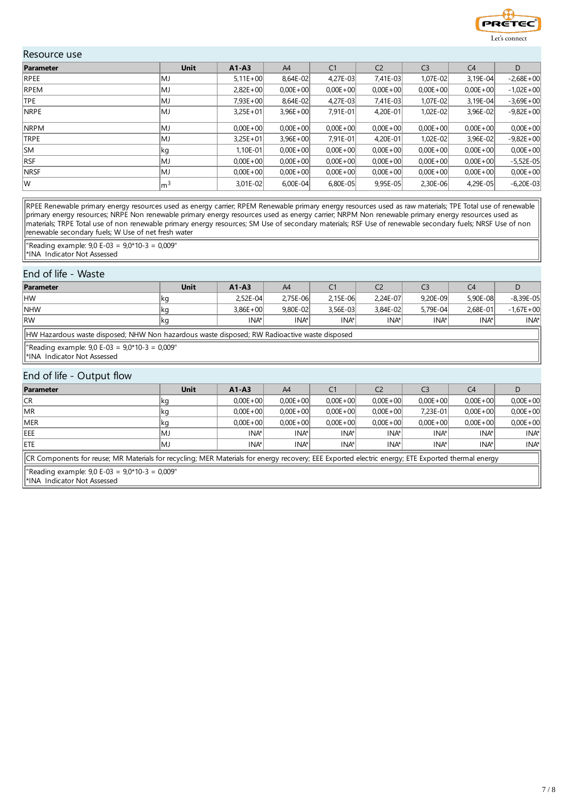

### Resource use

| Parameter   | <b>Unit</b>     | $A1 - A3$    | A4           | C <sub>1</sub> | C <sub>2</sub> | C <sub>3</sub> | C <sub>4</sub> | D            |
|-------------|-----------------|--------------|--------------|----------------|----------------|----------------|----------------|--------------|
| RPEE        | lMJ             | $5,11E+00$   | 8,64E-02     | 4,27E-03       | 7,41E-03       | 1,07E-02       | $3,19E-04$     | $-2,68E+00$  |
| <b>RPEM</b> | MJ              | $2.82E + 00$ | $0.00E + 00$ | $0,00E + 00$   | $0,00E + 00$   | $0,00E + 00$   | $0,00E + 00$   | $-1,02E+00$  |
| <b>TPE</b>  | lMJ             | $7.93E + 00$ | 8,64E-02     | 4,27E-03       | 7,41E-03       | 1,07E-02       | $3,19E-04$     | $-3,69E+00$  |
| <b>NRPE</b> | lMJ             | $3,25E+01$   | $3,96E + 00$ | 7,91E-01       | $4,20E-01$     | 1,02E-02       | 3,96E-02       | $-9,82E+00$  |
| <b>NRPM</b> | lMJ             | $0.00E + 00$ | $0.00E + 00$ | $0,00E + 00$   | $0,00E + 00$   | $0.00E + 00$   | $0,00E + 00$   | $0,00E + 00$ |
| TRPE        | lMJ             | $3,25E+01$   | $3,96E + 00$ | 7,91E-01       | $4,20E-01$     | $1,02E-02$     | 3,96E-02       | $-9,82E+00$  |
| <b>SM</b>   | ∣kg             | $1,10E-01$   | $0.00E + 00$ | $0,00E + 00$   | $0,00E + 00$   | $0,00E + 00$   | $0,00E + 00$   | $0,00E + 00$ |
| <b>RSF</b>  | lMJ             | $0.00E + 00$ | $0.00E + 00$ | $0.00E + 00$   | $0.00E + 00$   | $0.00E + 00$   | $0.00E + 00$   | $-5,52E-05$  |
| <b>NRSF</b> | lMJ             | $0.00E + 00$ | $0.00E + 00$ | $0,00E + 00$   | $0.00E + 00$   | $0.00E + 00$   | $0.00E + 00$   | $0,00E + 00$ |
| lw          | $\mathsf{Im}^3$ | $3,01E-02$   | $6,00E-04$   | 6,80E-05       | $9,95E-05$     | $2,30E-06$     | 4,29E-05       | $-6,20E-03$  |

RPEE Renewable primary energy resources used as energy carrier; RPEM Renewable primary energy resources used as raw materials; TPE Total use of renewable primary energy resources; NRPE Non renewable primary energy resources used as energy carrier; NRPM Non renewable primary energy resources used as materials; TRPE Total use of non renewable primary energy resources; SM Use of secondary materials; RSF Use of renewable secondary fuels; NRSF Use of non renewable secondary fuels; W Use of net fresh water

"Reading example: 9,0 E-03 = 9,0\*10-3 = 0,009" \*INA Indicator Not Assessed

### End of life - Waste

| Parameter                                                                                    | Unit | $A1 - A3$    | A4           | C <sub>1</sub> | C <sub>2</sub> | C <sub>3</sub> | C4       |               |  |
|----------------------------------------------------------------------------------------------|------|--------------|--------------|----------------|----------------|----------------|----------|---------------|--|
| HW                                                                                           | ∣kg  | $2.52E - 04$ | 2.75E-06     | 2.15E-06       | 2.24E-07       | 9.20E-09       | 5.90E-08 | $-8.39E - 05$ |  |
| <b>NHW</b>                                                                                   | ∣kg  | $3.86E + 00$ | $9.80E - 02$ | 3.56E-03       | $3.84E - 02$   | 5.79E-04       | 2.68E-01 | $-1.67E + 00$ |  |
| <b>RW</b>                                                                                    | ∣kg  | INA*         | INA*         | INA*           | INA*           | INA*           | INA*     | INA*I         |  |
| HW Hazardous waste disposed; NHW Non hazardous waste disposed; RW Radioactive waste disposed |      |              |              |                |                |                |          |               |  |
| "Reading example: $9,0$ E-03 = $9,0*10-3 = 0,009"$<br>I*INA Indicator Not Assessed           |      |              |              |                |                |                |          |               |  |

### End of life - Output flow

| Parameter   | Unit                                                                                                                                              | $A1 - A3$    | A4           |              | C <sub>2</sub> | C3               | C4           |              |  |
|-------------|---------------------------------------------------------------------------------------------------------------------------------------------------|--------------|--------------|--------------|----------------|------------------|--------------|--------------|--|
| CR          | ∣kg                                                                                                                                               | $0.00E + 00$ | $0.00E + 00$ | $0.00E + 00$ | $0.00E + 00$   | $0.00E + 00$     | $0.00E + 00$ | $0,00E + 00$ |  |
| <b>IMR</b>  | ∣kg                                                                                                                                               | $0.00E + 00$ | $0.00E + 00$ | $0.00E + 00$ | $0.00E + 00$   | 7.23E-01         | $0.00E + 00$ | $0.00E + 00$ |  |
| <b>IMER</b> | ∣kg                                                                                                                                               | $0.00E + 00$ | $0,00E + 00$ | $0.00E + 00$ | $0.00E + 00$   | $0.00E + 00$     | $0.00E + 00$ | $0,00E + 00$ |  |
| <b>IEEE</b> | IMJ                                                                                                                                               | INA*         | INA*         | INA*         | INA*I          | INA <sup>*</sup> | INA*l        | INA*         |  |
| <b>IETE</b> | lMJ                                                                                                                                               | INA*         | INA*         | INA*         | INA*           | INA*             | INA*         | INA*         |  |
|             | CR Components for reuse; MR Materials for recycling; MER Materials for energy recovery; EEE Exported electric energy; ETE Exported thermal energy |              |              |              |                |                  |              |              |  |

"Reading example: 9,0 E-03 = 9,0\*10-3 = 0,009"

\*INA Indicator Not Assessed